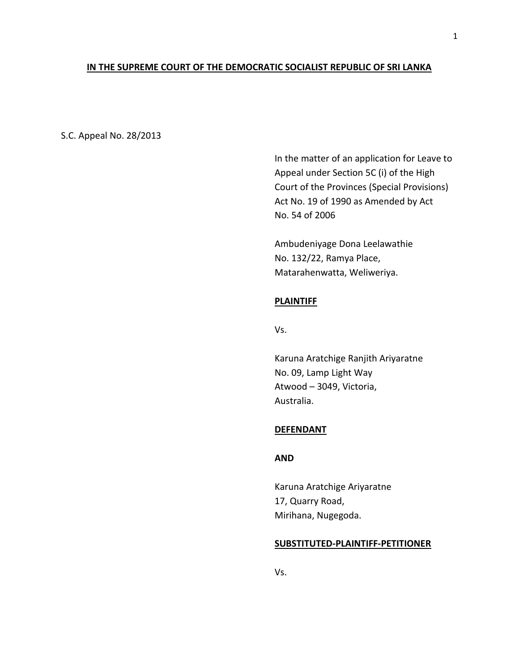### **IN THE SUPREME COURT OF THE DEMOCRATIC SOCIALIST REPUBLIC OF SRI LANKA**

S.C. Appeal No. 28/2013

In the matter of an application for Leave to Appeal under Section 5C (i) of the High Court of the Provinces (Special Provisions) Act No. 19 of 1990 as Amended by Act No. 54 of 2006

Ambudeniyage Dona Leelawathie No. 132/22, Ramya Place, Matarahenwatta, Weliweriya.

#### **PLAINTIFF**

Vs.

Karuna Aratchige Ranjith Ariyaratne No. 09, Lamp Light Way Atwood – 3049, Victoria, Australia.

### **DEFENDANT**

### **AND**

Karuna Aratchige Ariyaratne 17, Quarry Road, Mirihana, Nugegoda.

#### **SUBSTITUTED-PLAINTIFF-PETITIONER**

Vs.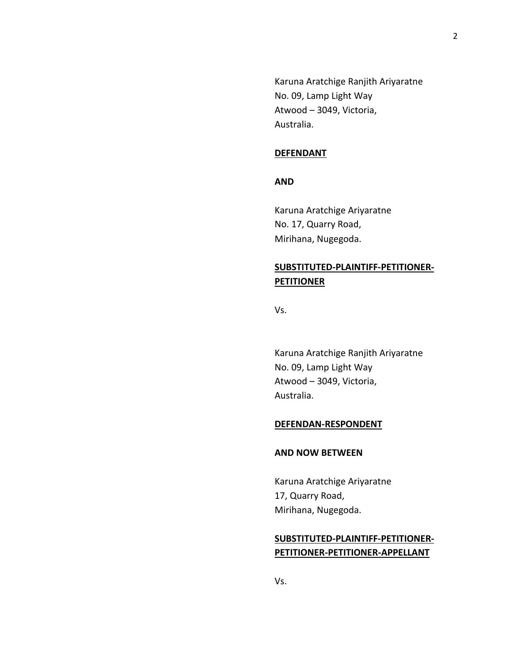Karuna Aratchige Ranjith Ariyaratne No. 09, Lamp Light Way Atwood – 3049, Victoria, Australia.

## **DEFENDANT**

### **AND**

Karuna Aratchige Ariyaratne No. 17, Quarry Road, Mirihana, Nugegoda.

# **SUBSTITUTED-PLAINTIFF-PETITIONER-PETITIONER**

Vs.

Karuna Aratchige Ranjith Ariyaratne No. 09, Lamp Light Way Atwood – 3049, Victoria, Australia.

### **DEFENDAN-RESPONDENT**

## **AND NOW BETWEEN**

Karuna Aratchige Ariyaratne 17, Quarry Road, Mirihana, Nugegoda.

# **SUBSTITUTED-PLAINTIFF-PETITIONER-PETITIONER-PETITIONER-APPELLANT**

Vs.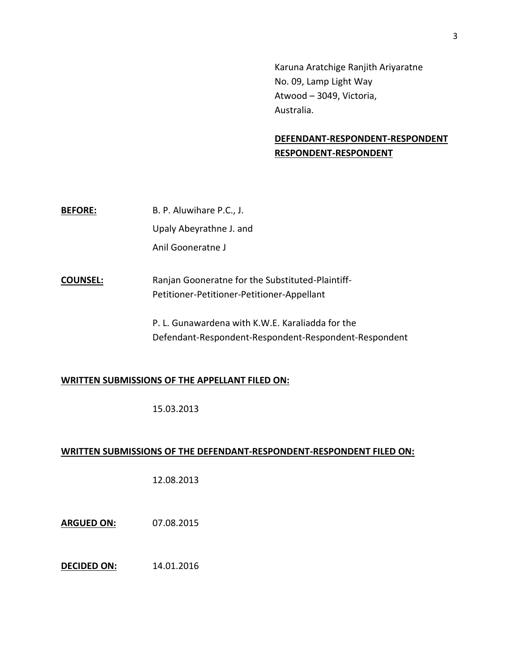Karuna Aratchige Ranjith Ariyaratne No. 09, Lamp Light Way Atwood – 3049, Victoria, Australia.

# **DEFENDANT-RESPONDENT-RESPONDENT RESPONDENT-RESPONDENT**

- **BEFORE:** B. P. Aluwihare P.C., J. Upaly Abeyrathne J. and Anil Gooneratne J
- **COUNSEL:** Ranjan Gooneratne for the Substituted-Plaintiff-Petitioner-Petitioner-Petitioner-Appellant

P. L. Gunawardena with K.W.E. Karaliadda for the Defendant-Respondent-Respondent-Respondent-Respondent

## **WRITTEN SUBMISSIONS OF THE APPELLANT FILED ON:**

15.03.2013

### **WRITTEN SUBMISSIONS OF THE DEFENDANT-RESPONDENT-RESPONDENT FILED ON:**

12.08.2013

**ARGUED ON:** 07.08.2015

**DECIDED ON:** 14.01.2016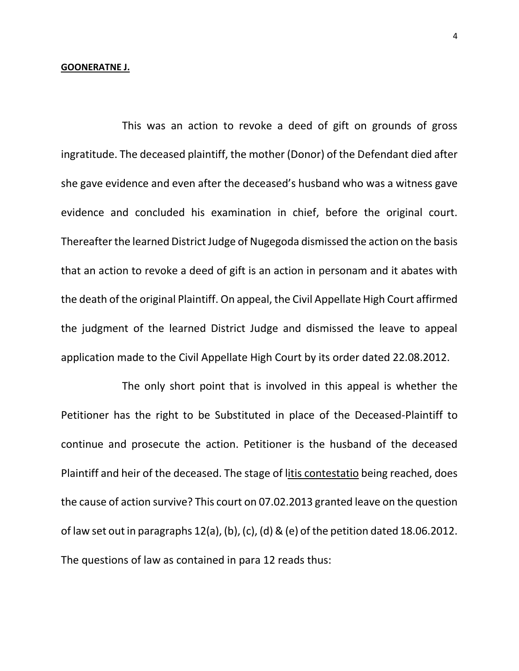#### **GOONERATNE J.**

This was an action to revoke a deed of gift on grounds of gross ingratitude. The deceased plaintiff, the mother (Donor) of the Defendant died after she gave evidence and even after the deceased's husband who was a witness gave evidence and concluded his examination in chief, before the original court. Thereafter the learned District Judge of Nugegoda dismissed the action on the basis that an action to revoke a deed of gift is an action in personam and it abates with the death of the original Plaintiff. On appeal, the Civil Appellate High Court affirmed the judgment of the learned District Judge and dismissed the leave to appeal application made to the Civil Appellate High Court by its order dated 22.08.2012.

The only short point that is involved in this appeal is whether the Petitioner has the right to be Substituted in place of the Deceased-Plaintiff to continue and prosecute the action. Petitioner is the husband of the deceased Plaintiff and heir of the deceased. The stage of litis contestatio being reached, does the cause of action survive? This court on 07.02.2013 granted leave on the question of law set out in paragraphs 12(a), (b), (c), (d) & (e) of the petition dated 18.06.2012. The questions of law as contained in para 12 reads thus: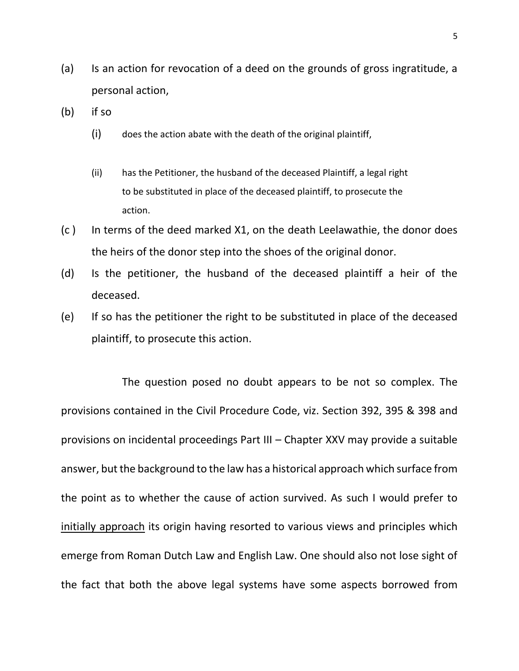- (a) Is an action for revocation of a deed on the grounds of gross ingratitude, a personal action,
- (b) if so
	- (i) does the action abate with the death of the original plaintiff,
	- (ii) has the Petitioner, the husband of the deceased Plaintiff, a legal right to be substituted in place of the deceased plaintiff, to prosecute the action.
- (c ) In terms of the deed marked X1, on the death Leelawathie, the donor does the heirs of the donor step into the shoes of the original donor.
- (d) Is the petitioner, the husband of the deceased plaintiff a heir of the deceased.
- (e) If so has the petitioner the right to be substituted in place of the deceased plaintiff, to prosecute this action.

The question posed no doubt appears to be not so complex. The provisions contained in the Civil Procedure Code, viz. Section 392, 395 & 398 and provisions on incidental proceedings Part III – Chapter XXV may provide a suitable answer, but the background to the law has a historical approach which surface from the point as to whether the cause of action survived. As such I would prefer to initially approach its origin having resorted to various views and principles which emerge from Roman Dutch Law and English Law. One should also not lose sight of the fact that both the above legal systems have some aspects borrowed from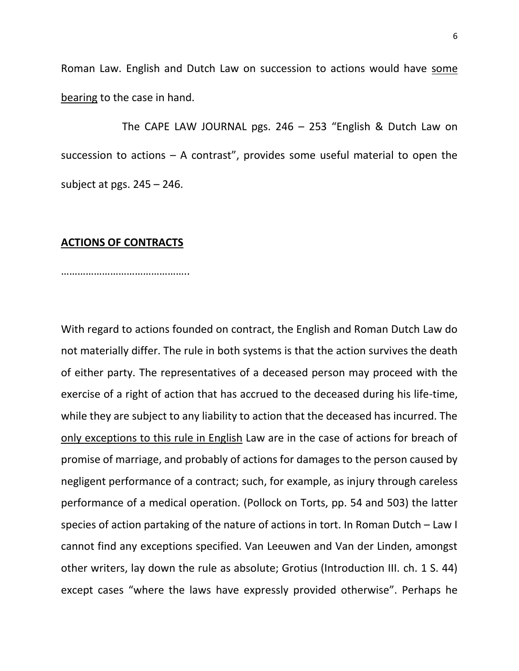Roman Law. English and Dutch Law on succession to actions would have some bearing to the case in hand.

The CAPE LAW JOURNAL pgs. 246 – 253 "English & Dutch Law on succession to actions  $-$  A contrast", provides some useful material to open the subject at pgs. 245 – 246.

# **ACTIONS OF CONTRACTS**

………………………………………..

With regard to actions founded on contract, the English and Roman Dutch Law do not materially differ. The rule in both systems is that the action survives the death of either party. The representatives of a deceased person may proceed with the exercise of a right of action that has accrued to the deceased during his life-time, while they are subject to any liability to action that the deceased has incurred. The only exceptions to this rule in English Law are in the case of actions for breach of promise of marriage, and probably of actions for damages to the person caused by negligent performance of a contract; such, for example, as injury through careless performance of a medical operation. (Pollock on Torts, pp. 54 and 503) the latter species of action partaking of the nature of actions in tort. In Roman Dutch – Law I cannot find any exceptions specified. Van Leeuwen and Van der Linden, amongst other writers, lay down the rule as absolute; Grotius (Introduction III. ch. 1 S. 44) except cases "where the laws have expressly provided otherwise". Perhaps he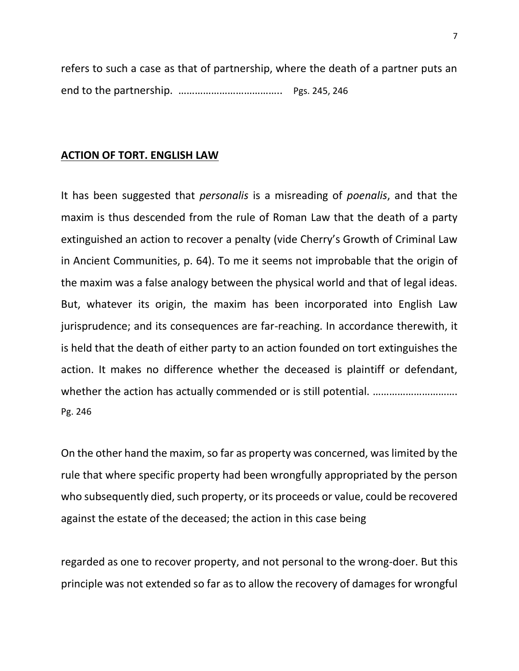refers to such a case as that of partnership, where the death of a partner puts an end to the partnership. ……………………………….. Pgs. 245, 246

## **ACTION OF TORT. ENGLISH LAW**

It has been suggested that *personalis* is a misreading of *poenalis*, and that the maxim is thus descended from the rule of Roman Law that the death of a party extinguished an action to recover a penalty (vide Cherry's Growth of Criminal Law in Ancient Communities, p. 64). To me it seems not improbable that the origin of the maxim was a false analogy between the physical world and that of legal ideas. But, whatever its origin, the maxim has been incorporated into English Law jurisprudence; and its consequences are far-reaching. In accordance therewith, it is held that the death of either party to an action founded on tort extinguishes the action. It makes no difference whether the deceased is plaintiff or defendant, whether the action has actually commended or is still potential. ……………………………………… Pg. 246

On the other hand the maxim, so far as property was concerned, was limited by the rule that where specific property had been wrongfully appropriated by the person who subsequently died, such property, or its proceeds or value, could be recovered against the estate of the deceased; the action in this case being

regarded as one to recover property, and not personal to the wrong-doer. But this principle was not extended so far as to allow the recovery of damages for wrongful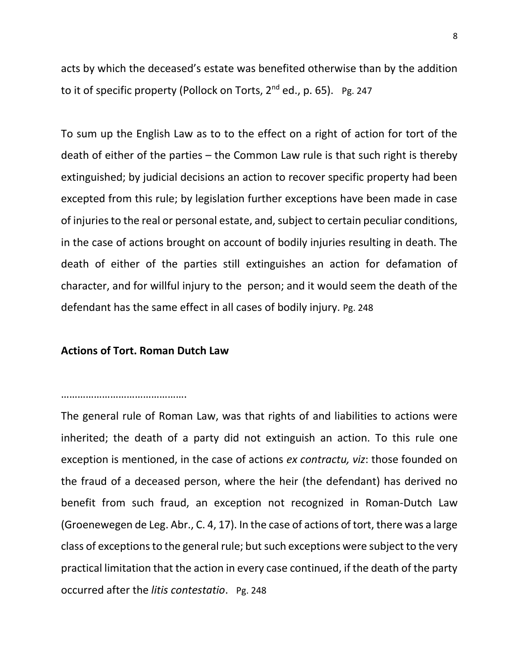acts by which the deceased's estate was benefited otherwise than by the addition to it of specific property (Pollock on Torts, 2<sup>nd</sup> ed., p. 65). Pg. 247

To sum up the English Law as to to the effect on a right of action for tort of the death of either of the parties – the Common Law rule is that such right is thereby extinguished; by judicial decisions an action to recover specific property had been excepted from this rule; by legislation further exceptions have been made in case of injuries to the real or personal estate, and, subject to certain peculiar conditions, in the case of actions brought on account of bodily injuries resulting in death. The death of either of the parties still extinguishes an action for defamation of character, and for willful injury to the person; and it would seem the death of the defendant has the same effect in all cases of bodily injury. Pg. 248

# **Actions of Tort. Roman Dutch Law**

### …………………………………………

The general rule of Roman Law, was that rights of and liabilities to actions were inherited; the death of a party did not extinguish an action. To this rule one exception is mentioned, in the case of actions *ex contractu, viz*: those founded on the fraud of a deceased person, where the heir (the defendant) has derived no benefit from such fraud, an exception not recognized in Roman-Dutch Law (Groenewegen de Leg. Abr., C. 4, 17). In the case of actions of tort, there was a large class of exceptions to the general rule; but such exceptions were subject to the very practical limitation that the action in every case continued, if the death of the party occurred after the *litis contestatio*. Pg. 248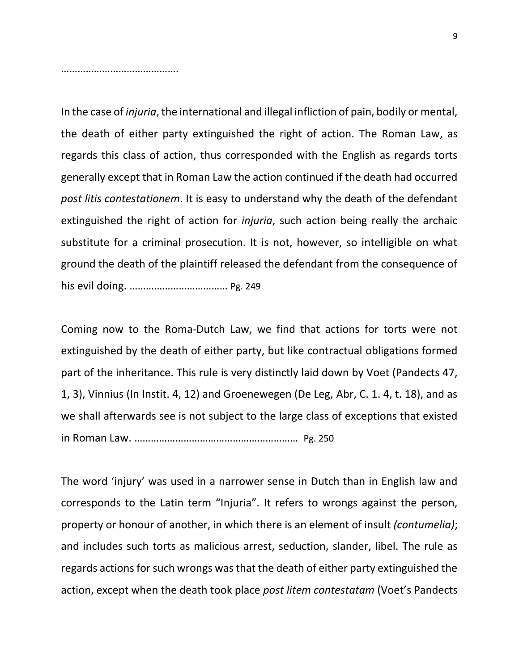………………………………………

In the case of *injuria*, the international and illegal infliction of pain, bodily or mental, the death of either party extinguished the right of action. The Roman Law, as regards this class of action, thus corresponded with the English as regards torts generally except that in Roman Law the action continued if the death had occurred *post litis contestationem*. It is easy to understand why the death of the defendant extinguished the right of action for *injuria*, such action being really the archaic substitute for a criminal prosecution. It is not, however, so intelligible on what ground the death of the plaintiff released the defendant from the consequence of his evil doing. ……………………………… Pg. 249

Coming now to the Roma-Dutch Law, we find that actions for torts were not extinguished by the death of either party, but like contractual obligations formed part of the inheritance. This rule is very distinctly laid down by Voet (Pandects 47, 1, 3), Vinnius (In Instit. 4, 12) and Groenewegen (De Leg, Abr, C. 1. 4, t. 18), and as we shall afterwards see is not subject to the large class of exceptions that existed in Roman Law. …………………………………………………… Pg. 250

The word 'injury' was used in a narrower sense in Dutch than in English law and corresponds to the Latin term "Injuria". It refers to wrongs against the person, property or honour of another, in which there is an element of insult *(contumelia)*; and includes such torts as malicious arrest, seduction, slander, libel. The rule as regards actions for such wrongs was that the death of either party extinguished the action, except when the death took place *post litem contestatam* (Voet's Pandects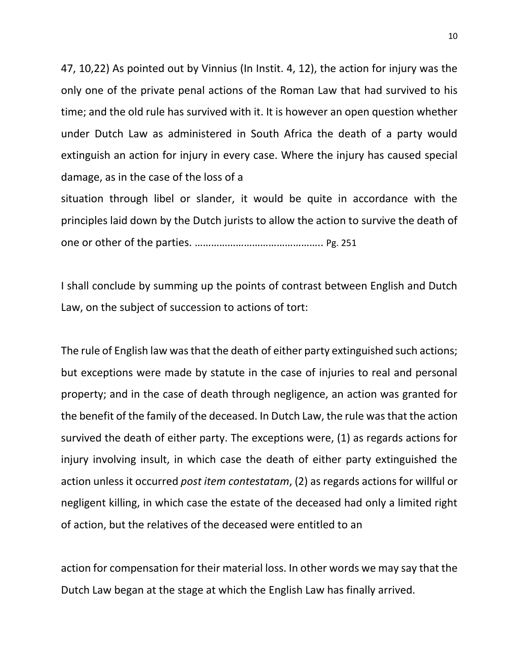47, 10,22) As pointed out by Vinnius (In Instit. 4, 12), the action for injury was the only one of the private penal actions of the Roman Law that had survived to his time; and the old rule has survived with it. It is however an open question whether under Dutch Law as administered in South Africa the death of a party would extinguish an action for injury in every case. Where the injury has caused special damage, as in the case of the loss of a

situation through libel or slander, it would be quite in accordance with the principles laid down by the Dutch jurists to allow the action to survive the death of one or other of the parties. ……………………………………….. Pg. 251

I shall conclude by summing up the points of contrast between English and Dutch Law, on the subject of succession to actions of tort:

The rule of English law was that the death of either party extinguished such actions; but exceptions were made by statute in the case of injuries to real and personal property; and in the case of death through negligence, an action was granted for the benefit of the family of the deceased. In Dutch Law, the rule was that the action survived the death of either party. The exceptions were, (1) as regards actions for injury involving insult, in which case the death of either party extinguished the action unless it occurred *post item contestatam*, (2) as regards actions for willful or negligent killing, in which case the estate of the deceased had only a limited right of action, but the relatives of the deceased were entitled to an

action for compensation for their material loss. In other words we may say that the Dutch Law began at the stage at which the English Law has finally arrived.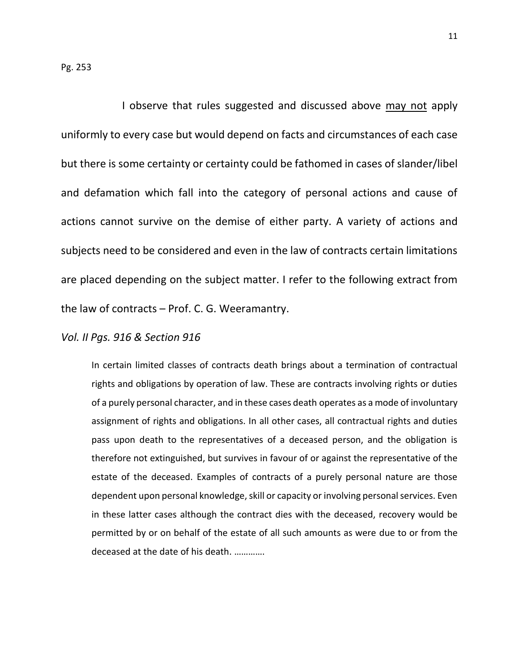I observe that rules suggested and discussed above may not apply uniformly to every case but would depend on facts and circumstances of each case but there is some certainty or certainty could be fathomed in cases of slander/libel and defamation which fall into the category of personal actions and cause of actions cannot survive on the demise of either party. A variety of actions and subjects need to be considered and even in the law of contracts certain limitations are placed depending on the subject matter. I refer to the following extract from the law of contracts – Prof. C. G. Weeramantry.

## *Vol. II Pgs. 916 & Section 916*

In certain limited classes of contracts death brings about a termination of contractual rights and obligations by operation of law. These are contracts involving rights or duties of a purely personal character, and in these cases death operates as a mode of involuntary assignment of rights and obligations. In all other cases, all contractual rights and duties pass upon death to the representatives of a deceased person, and the obligation is therefore not extinguished, but survives in favour of or against the representative of the estate of the deceased. Examples of contracts of a purely personal nature are those dependent upon personal knowledge, skill or capacity or involving personal services. Even in these latter cases although the contract dies with the deceased, recovery would be permitted by or on behalf of the estate of all such amounts as were due to or from the deceased at the date of his death. ………….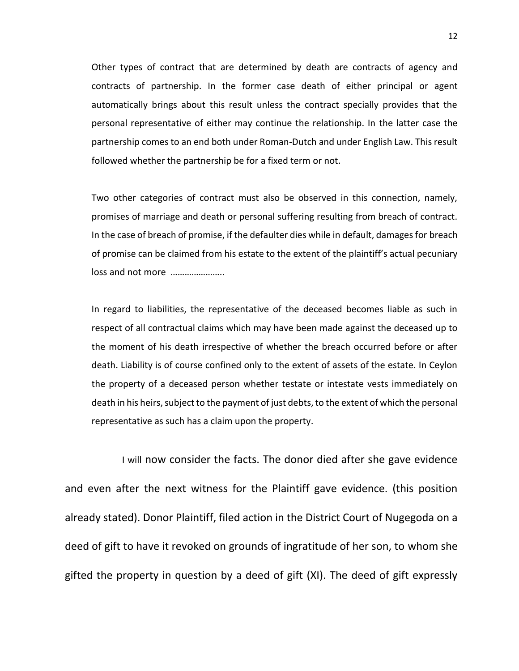Other types of contract that are determined by death are contracts of agency and contracts of partnership. In the former case death of either principal or agent automatically brings about this result unless the contract specially provides that the personal representative of either may continue the relationship. In the latter case the partnership comes to an end both under Roman-Dutch and under English Law. This result followed whether the partnership be for a fixed term or not.

Two other categories of contract must also be observed in this connection, namely, promises of marriage and death or personal suffering resulting from breach of contract. In the case of breach of promise, if the defaulter dies while in default, damages for breach of promise can be claimed from his estate to the extent of the plaintiff's actual pecuniary loss and not more …………………..

In regard to liabilities, the representative of the deceased becomes liable as such in respect of all contractual claims which may have been made against the deceased up to the moment of his death irrespective of whether the breach occurred before or after death. Liability is of course confined only to the extent of assets of the estate. In Ceylon the property of a deceased person whether testate or intestate vests immediately on death in his heirs, subject to the payment of just debts, to the extent of which the personal representative as such has a claim upon the property.

I will now consider the facts. The donor died after she gave evidence and even after the next witness for the Plaintiff gave evidence. (this position already stated). Donor Plaintiff, filed action in the District Court of Nugegoda on a deed of gift to have it revoked on grounds of ingratitude of her son, to whom she gifted the property in question by a deed of gift (XI). The deed of gift expressly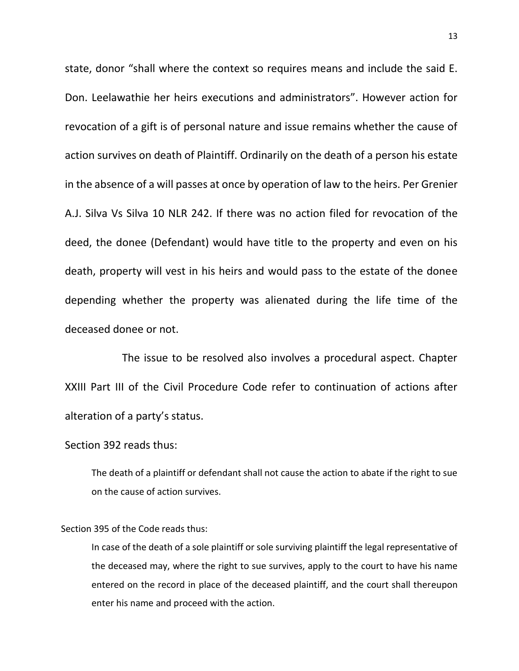state, donor "shall where the context so requires means and include the said E. Don. Leelawathie her heirs executions and administrators". However action for revocation of a gift is of personal nature and issue remains whether the cause of action survives on death of Plaintiff. Ordinarily on the death of a person his estate in the absence of a will passes at once by operation of law to the heirs. Per Grenier A.J. Silva Vs Silva 10 NLR 242. If there was no action filed for revocation of the deed, the donee (Defendant) would have title to the property and even on his death, property will vest in his heirs and would pass to the estate of the donee depending whether the property was alienated during the life time of the deceased donee or not.

The issue to be resolved also involves a procedural aspect. Chapter XXIII Part III of the Civil Procedure Code refer to continuation of actions after alteration of a party's status.

## Section 392 reads thus:

The death of a plaintiff or defendant shall not cause the action to abate if the right to sue on the cause of action survives.

### Section 395 of the Code reads thus:

In case of the death of a sole plaintiff or sole surviving plaintiff the legal representative of the deceased may, where the right to sue survives, apply to the court to have his name entered on the record in place of the deceased plaintiff, and the court shall thereupon enter his name and proceed with the action.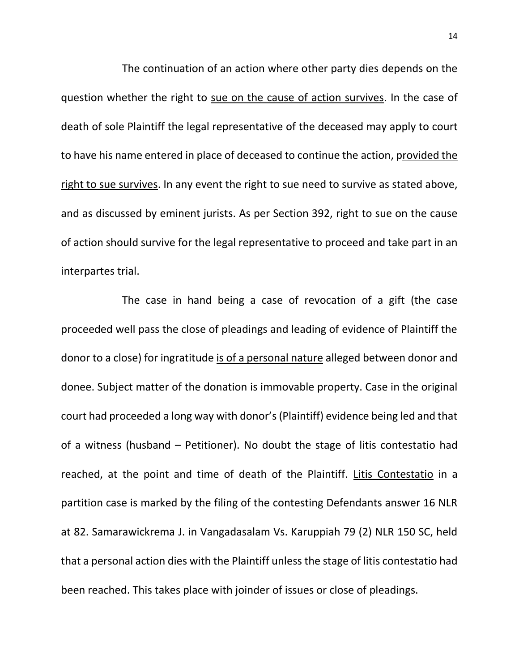The continuation of an action where other party dies depends on the question whether the right to sue on the cause of action survives. In the case of death of sole Plaintiff the legal representative of the deceased may apply to court to have his name entered in place of deceased to continue the action, provided the right to sue survives. In any event the right to sue need to survive as stated above, and as discussed by eminent jurists. As per Section 392, right to sue on the cause of action should survive for the legal representative to proceed and take part in an interpartes trial.

The case in hand being a case of revocation of a gift (the case proceeded well pass the close of pleadings and leading of evidence of Plaintiff the donor to a close) for ingratitude is of a personal nature alleged between donor and donee. Subject matter of the donation is immovable property. Case in the original court had proceeded a long way with donor's(Plaintiff) evidence being led and that of a witness (husband – Petitioner). No doubt the stage of litis contestatio had reached, at the point and time of death of the Plaintiff. Litis Contestatio in a partition case is marked by the filing of the contesting Defendants answer 16 NLR at 82. Samarawickrema J. in Vangadasalam Vs. Karuppiah 79 (2) NLR 150 SC, held that a personal action dies with the Plaintiff unless the stage of litis contestatio had been reached. This takes place with joinder of issues or close of pleadings.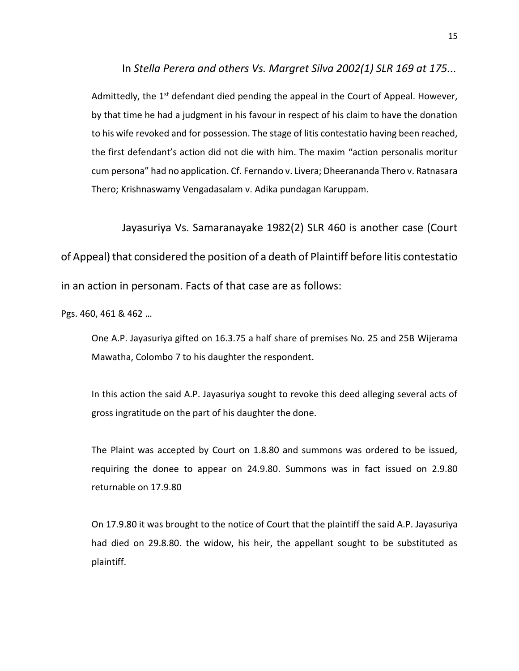In *Stella Perera and others Vs. Margret Silva 2002(1) SLR 169 at 175...*

Admittedly, the  $1<sup>st</sup>$  defendant died pending the appeal in the Court of Appeal. However, by that time he had a judgment in his favour in respect of his claim to have the donation to his wife revoked and for possession. The stage of litis contestatio having been reached, the first defendant's action did not die with him. The maxim "action personalis moritur cum persona" had no application. Cf. Fernando v. Livera; Dheerananda Thero v. Ratnasara Thero; Krishnaswamy Vengadasalam v. Adika pundagan Karuppam.

Jayasuriya Vs. Samaranayake 1982(2) SLR 460 is another case (Court of Appeal) that considered the position of a death of Plaintiff before litis contestatio in an action in personam. Facts of that case are as follows:

Pgs. 460, 461 & 462 …

One A.P. Jayasuriya gifted on 16.3.75 a half share of premises No. 25 and 25B Wijerama Mawatha, Colombo 7 to his daughter the respondent.

In this action the said A.P. Jayasuriya sought to revoke this deed alleging several acts of gross ingratitude on the part of his daughter the done.

The Plaint was accepted by Court on 1.8.80 and summons was ordered to be issued, requiring the donee to appear on 24.9.80. Summons was in fact issued on 2.9.80 returnable on 17.9.80

On 17.9.80 it was brought to the notice of Court that the plaintiff the said A.P. Jayasuriya had died on 29.8.80. the widow, his heir, the appellant sought to be substituted as plaintiff.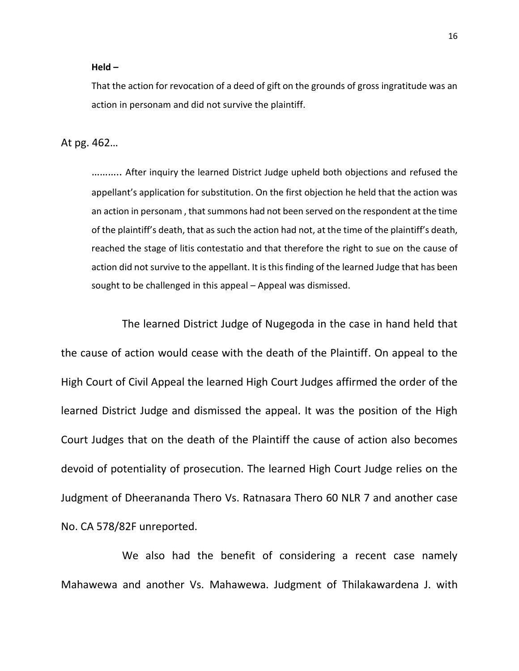### **Held –**

That the action for revocation of a deed of gift on the grounds of gross ingratitude was an action in personam and did not survive the plaintiff.

At pg. 462…

……….. After inquiry the learned District Judge upheld both objections and refused the appellant's application for substitution. On the first objection he held that the action was an action in personam , that summons had not been served on the respondent at the time of the plaintiff's death, that as such the action had not, at the time of the plaintiff's death, reached the stage of litis contestatio and that therefore the right to sue on the cause of action did not survive to the appellant. It is this finding of the learned Judge that has been sought to be challenged in this appeal – Appeal was dismissed.

The learned District Judge of Nugegoda in the case in hand held that the cause of action would cease with the death of the Plaintiff. On appeal to the High Court of Civil Appeal the learned High Court Judges affirmed the order of the learned District Judge and dismissed the appeal. It was the position of the High Court Judges that on the death of the Plaintiff the cause of action also becomes devoid of potentiality of prosecution. The learned High Court Judge relies on the Judgment of Dheerananda Thero Vs. Ratnasara Thero 60 NLR 7 and another case No. CA 578/82F unreported.

We also had the benefit of considering a recent case namely Mahawewa and another Vs. Mahawewa. Judgment of Thilakawardena J. with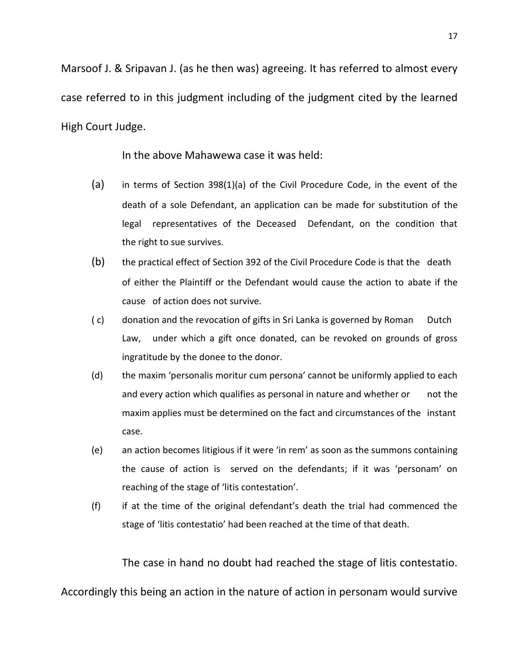Marsoof J. & Sripavan J. (as he then was) agreeing. It has referred to almost every case referred to in this judgment including of the judgment cited by the learned High Court Judge.

In the above Mahawewa case it was held:

- (a) in terms of Section 398(1)(a) of the Civil Procedure Code, in the event of the death of a sole Defendant, an application can be made for substitution of the legal representatives of the Deceased Defendant, on the condition that the right to sue survives.
- (b) the practical effect of Section 392 of the Civil Procedure Code is that the death of either the Plaintiff or the Defendant would cause the action to abate if the cause of action does not survive.
- ( c) donation and the revocation of gifts in Sri Lanka is governed by Roman Dutch Law, under which a gift once donated, can be revoked on grounds of gross ingratitude by the donee to the donor.
- (d) the maxim 'personalis moritur cum persona' cannot be uniformly applied to each and every action which qualifies as personal in nature and whether or not the maxim applies must be determined on the fact and circumstances of the instant case.
- (e) an action becomes litigious if it were 'in rem' as soon as the summons containing the cause of action is served on the defendants; if it was 'personam' on reaching of the stage of 'litis contestation'.
- (f) if at the time of the original defendant's death the trial had commenced the stage of 'litis contestatio' had been reached at the time of that death.

The case in hand no doubt had reached the stage of litis contestatio.

Accordingly this being an action in the nature of action in personam would survive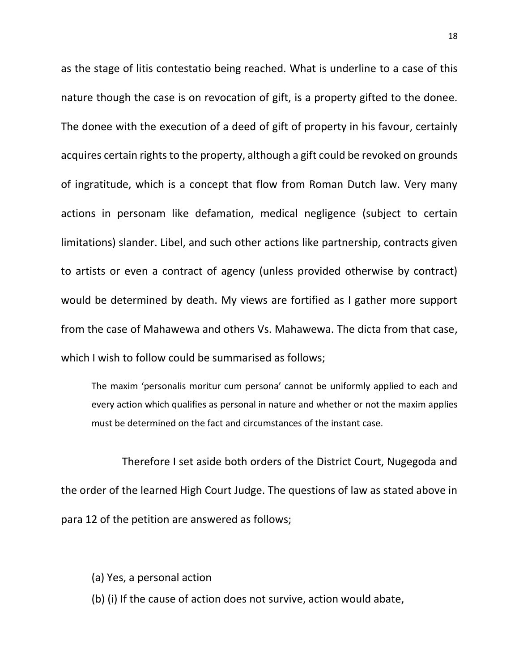as the stage of litis contestatio being reached. What is underline to a case of this nature though the case is on revocation of gift, is a property gifted to the donee. The donee with the execution of a deed of gift of property in his favour, certainly acquires certain rights to the property, although a gift could be revoked on grounds of ingratitude, which is a concept that flow from Roman Dutch law. Very many actions in personam like defamation, medical negligence (subject to certain limitations) slander. Libel, and such other actions like partnership, contracts given to artists or even a contract of agency (unless provided otherwise by contract) would be determined by death. My views are fortified as I gather more support from the case of Mahawewa and others Vs. Mahawewa. The dicta from that case, which I wish to follow could be summarised as follows;

The maxim 'personalis moritur cum persona' cannot be uniformly applied to each and every action which qualifies as personal in nature and whether or not the maxim applies must be determined on the fact and circumstances of the instant case.

Therefore I set aside both orders of the District Court, Nugegoda and the order of the learned High Court Judge. The questions of law as stated above in para 12 of the petition are answered as follows;

(a) Yes, a personal action

(b) (i) If the cause of action does not survive, action would abate,